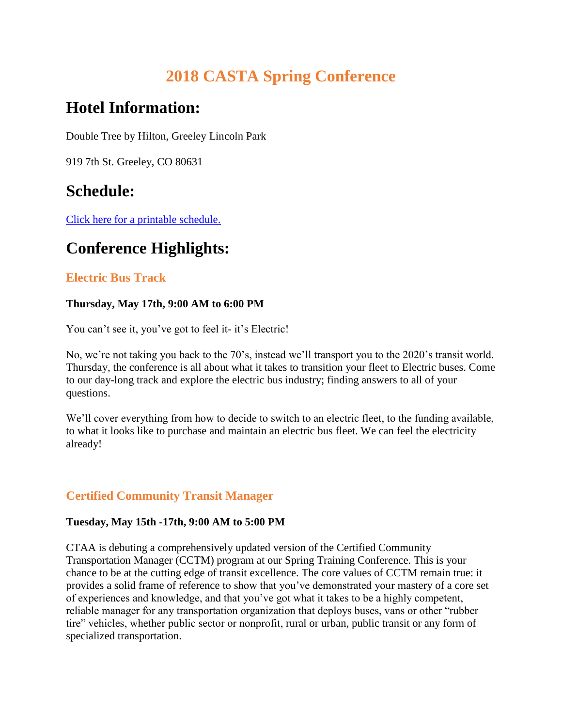# **2018 CASTA Spring Conference**

# **Hotel Information:**

Double Tree by Hilton, Greeley Lincoln Park

919 7th St. Greeley, CO 80631

## **Schedule:**

[Click here for a printable schedule.](https://coloradotransit.com/wp-content/uploads/2018/05/Schedule-at-a-Glance-Spring-Final-Draft-X200.pdf) 

# **Conference Highlights:**

## **Electric Bus Track**

#### **Thursday, May 17th, 9:00 AM to 6:00 PM**

You can't see it, you've got to feel it- it's Electric!

No, we're not taking you back to the 70's, instead we'll transport you to the 2020's transit world. Thursday, the conference is all about what it takes to transition your fleet to Electric buses. Come to our day-long track and explore the electric bus industry; finding answers to all of your questions.

We'll cover everything from how to decide to switch to an electric fleet, to the funding available, to what it looks like to purchase and maintain an electric bus fleet. We can feel the electricity already!

## **Certified Community Transit Manager**

#### **Tuesday, May 15th -17th, 9:00 AM to 5:00 PM**

CTAA is debuting a comprehensively updated version of the Certified Community Transportation Manager (CCTM) program at our Spring Training Conference. This is your chance to be at the cutting edge of transit excellence. The core values of CCTM remain true: it provides a solid frame of reference to show that you've demonstrated your mastery of a core set of experiences and knowledge, and that you've got what it takes to be a highly competent, reliable manager for any transportation organization that deploys buses, vans or other "rubber tire" vehicles, whether public sector or nonprofit, rural or urban, public transit or any form of specialized transportation.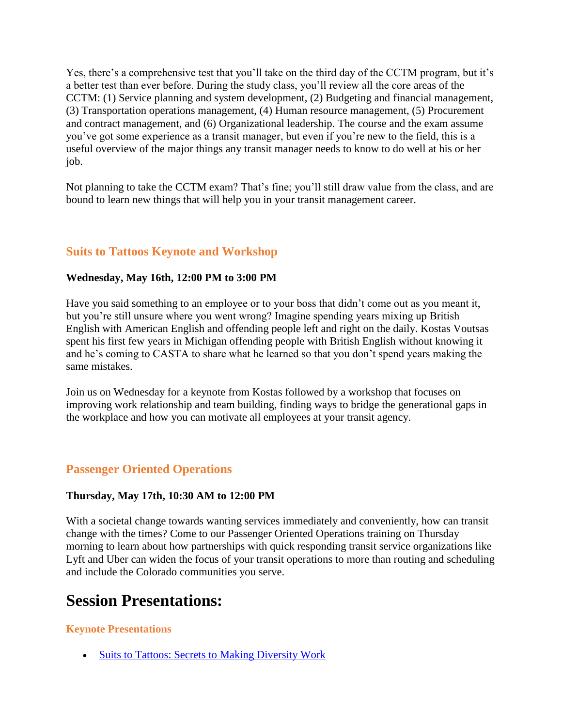Yes, there's a comprehensive test that you'll take on the third day of the CCTM program, but it's a better test than ever before. During the study class, you'll review all the core areas of the CCTM: (1) Service planning and system development, (2) Budgeting and financial management, (3) Transportation operations management, (4) Human resource management, (5) Procurement and contract management, and (6) Organizational leadership. The course and the exam assume you've got some experience as a transit manager, but even if you're new to the field, this is a useful overview of the major things any transit manager needs to know to do well at his or her job.

Not planning to take the CCTM exam? That's fine; you'll still draw value from the class, and are bound to learn new things that will help you in your transit management career.

### **Suits to Tattoos Keynote and Workshop**

#### **Wednesday, May 16th, 12:00 PM to 3:00 PM**

Have you said something to an employee or to your boss that didn't come out as you meant it, but you're still unsure where you went wrong? Imagine spending years mixing up British English with American English and offending people left and right on the daily. Kostas Voutsas spent his first few years in Michigan offending people with British English without knowing it and he's coming to CASTA to share what he learned so that you don't spend years making the same mistakes.

Join us on Wednesday for a keynote from Kostas followed by a workshop that focuses on improving work relationship and team building, finding ways to bridge the generational gaps in the workplace and how you can motivate all employees at your transit agency.

### **Passenger Oriented Operations**

#### **Thursday, May 17th, 10:30 AM to 12:00 PM**

With a societal change towards wanting services immediately and conveniently, how can transit change with the times? Come to our Passenger Oriented Operations training on Thursday morning to learn about how partnerships with quick responding transit service organizations like Lyft and Uber can widen the focus of your transit operations to more than routing and scheduling and include the Colorado communities you serve.

## **Session Presentations:**

#### **Keynote Presentations**

• [Suits to Tattoos: Secrets to Making Diversity Work](https://coloradotransit.com/wp-content/uploads/2018/05/casta2.pdf)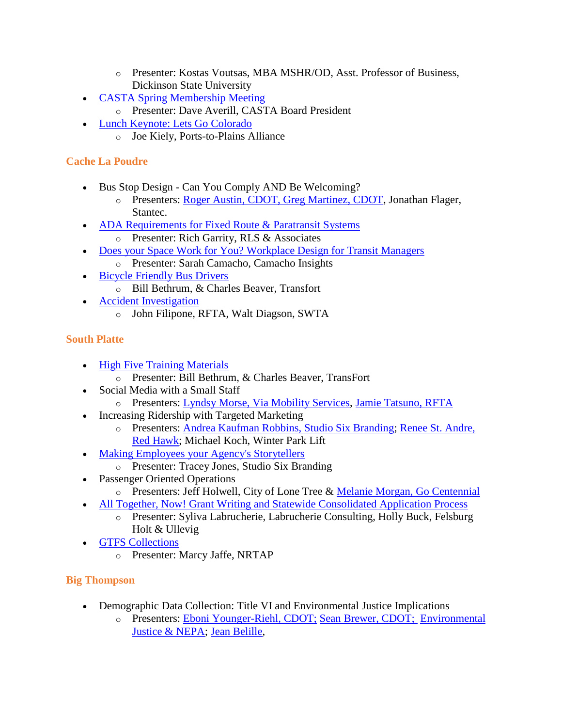- o Presenter: Kostas Voutsas, MBA MSHR/OD, Asst. Professor of Business, Dickinson State University
- [CASTA Spring Membership Meeting](https://coloradotransit.com/wp-content/uploads/2018/05/Committee-Meeting-Breakfast-ED.pptx)
	- o Presenter: Dave Averill, CASTA Board President
- [Lunch Keynote: Lets Go Colorado](https://coloradotransit.com/wp-content/uploads/2018/05/LGC_Presentation_CASTA_051718.pptx)
	- o Joe Kiely, Ports-to-Plains Alliance

## **Cache La Poudre**

- Bus Stop Design Can You Comply AND Be Welcoming?
	- o Presenters: [Roger Austin, CDOT, Greg Martinez, CDOT,](https://coloradotransit.com/wp-content/uploads/2018/05/Bus-Stop-Design.pptx.pdf) Jonathan Flager, Stantec.
- [ADA Requirements for Fixed Route & Paratransit Systems](https://coloradotransit.com/wp-content/uploads/2018/05/RLS-ADA-Presentation-CASTA-Spring.pptx)
	- o Presenter: Rich Garrity, RLS & Associates
- [Does your Space Work for You? Workplace Design for Transit Managers](https://coloradotransit.com/wp-content/uploads/2018/05/5S_Presentation_CASTA_2018-05-16.pptx)
	- o Presenter: Sarah Camacho, Camacho Insights
- [Bicycle Friendly Bus Drivers](https://coloradotransit.com/wp-content/uploads/2018/05/2018-Bicycle-Friendly-Driver-030418.pptx)
	- o Bill Bethrum, & Charles Beaver, Transfort
- [Accident Investigation](https://coloradotransit.com/wp-content/uploads/2018/05/Effective-Acc-Resp-Inves-Doc-Pres-2.pdf)
	- o John Filipone, RFTA, Walt Diagson, SWTA

## **South Platte**

- [High Five Training Materials](https://coloradotransit.com/wp-content/uploads/2018/05/2018-High-Five-Training-CASTA-Spring-Conference.pdf)
	- o Presenter: Bill Bethrum, & Charles Beaver, TransFort
- Social Media with a Small Staff
	- o Presenters: [Lyndsy Morse, Via Mobility Services,](https://coloradotransit.com/wp-content/uploads/2018/05/Social-Media-with-a-Small-Staff_LyndsyMorse.pptx) [Jamie Tatsuno, RFTA](https://coloradotransit.com/wp-content/uploads/2018/05/Social-Media-with-a-Small-Staff_JamieTatsuno.pptx)
- Increasing Ridership with Targeted Marketing
	- o Presenters: [Andrea Kaufman Robbins, Studio Six Branding;](https://coloradotransit.com/wp-content/uploads/2018/05/Increasing-Ridership-with-Targeted-Marketing-Andrea-Kaufman-Robbins.pdf) [Renee St. Andre,](https://coloradotransit.com/wp-content/uploads/2018/05/HWY-Saftey-Grant-Presentation-.pptx)  [Red Hawk;](https://coloradotransit.com/wp-content/uploads/2018/05/HWY-Saftey-Grant-Presentation-.pptx) Michael Koch, Winter Park Lift
- [Making Employees your Agency's Storytellers](https://coloradotransit.com/wp-content/uploads/2018/05/StudioSix-traci-fn4.pdf)
	- o Presenter: Tracey Jones, Studio Six Branding
- Passenger Oriented Operations
	- o Presenters: Jeff Holwell, City of Lone Tree & [Melanie Morgan, Go Centennial](https://coloradotransit.com/wp-content/uploads/2018/05/Passenber-Oriented-Operations-GO-Centennial.pptx)
- [All Together, Now! Grant Writing and Statewide Consolidated Application Process](https://coloradotransit.com/wp-content/uploads/2018/05/CASTA2018Spg-GrantWriting-0517.pptx)
	- o Presenter: Syliva Labrucherie, Labrucherie Consulting, Holly Buck, Felsburg Holt & Ullevig
- **[GTFS Collections](https://prezi.com/view/gofp7jIV01BTTE9Br6yc/)** 
	- o Presenter: Marcy Jaffe, NRTAP

## **Big Thompson**

- Demographic Data Collection: Title VI and Environmental Justice Implications
	- o Presenters: [Eboni Younger-Riehl, CDOT;](https://coloradotransit.com/wp-content/uploads/2018/05/Data-Collection.pdf) [Sean Brewer, CDOT;](https://coloradotransit.com/wp-content/uploads/2018/05/Data-Collection.pptx) [Environmental](https://coloradotransit.com/wp-content/uploads/2018/05/Environmental-Justice-NEPA.pptx)  [Justice & NEPA;](https://coloradotransit.com/wp-content/uploads/2018/05/Environmental-Justice-NEPA.pptx) [Jean Belille,](https://coloradotransit.com/wp-content/uploads/2018/05/EJSCREEN-R8.pptx)